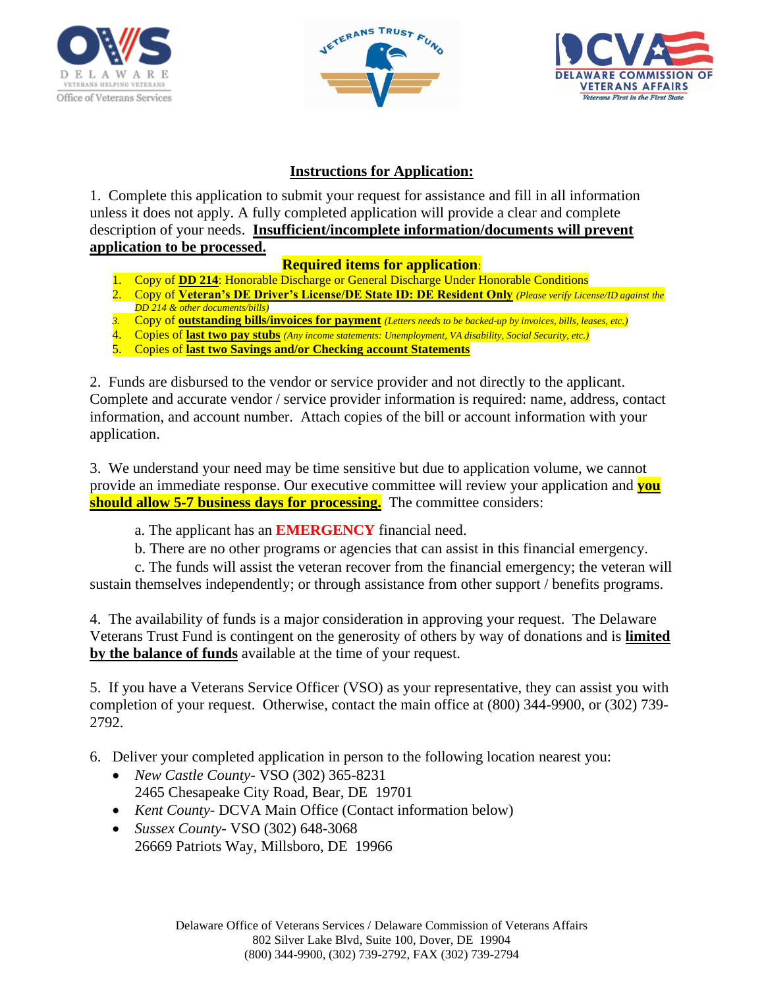





## **Instructions for Application:**

1. Complete this application to submit your request for assistance and fill in all information unless it does not apply. A fully completed application will provide a clear and complete description of your needs. **Insufficient/incomplete information/documents will prevent application to be processed.**

## **Required items for application**:

- 1. Copy of **DD 214**: Honorable Discharge or General Discharge Under Honorable Conditions
- 2. Copy of **Veteran's DE Driver's License/DE State ID: DE Resident Only** *(Please verify License/ID against the DD 214 & other documents/bills*)
- *3.* Copy of **outstanding bills/invoices for payment** *(Letters needs to be backed-up by invoices, bills, leases, etc.)*
- 4. Copies of **last two pay stubs** *(Any income statements: Unemployment, VA disability, Social Security, etc.)*
- 5. Copies of **last two Savings and/or Checking account Statements**

2. Funds are disbursed to the vendor or service provider and not directly to the applicant. Complete and accurate vendor / service provider information is required: name, address, contact information, and account number. Attach copies of the bill or account information with your application.

3. We understand your need may be time sensitive but due to application volume, we cannot provide an immediate response. Our executive committee will review your application and **you should allow 5-7 business days for processing.** The committee considers:

a. The applicant has an **EMERGENCY** financial need.

b. There are no other programs or agencies that can assist in this financial emergency.

c. The funds will assist the veteran recover from the financial emergency; the veteran will sustain themselves independently; or through assistance from other support / benefits programs.

4. The availability of funds is a major consideration in approving your request. The Delaware Veterans Trust Fund is contingent on the generosity of others by way of donations and is **limited by the balance of funds** available at the time of your request.

5. If you have a Veterans Service Officer (VSO) as your representative, they can assist you with completion of your request. Otherwise, contact the main office at (800) 344-9900, or (302) 739- 2792.

- 6. Deliver your completed application in person to the following location nearest you:
	- *New Castle County* VSO (302) 365-8231 2465 Chesapeake City Road, Bear, DE 19701
	- *Kent County* DCVA Main Office (Contact information below)
	- *Sussex County* VSO (302) 648-3068 26669 Patriots Way, Millsboro, DE 19966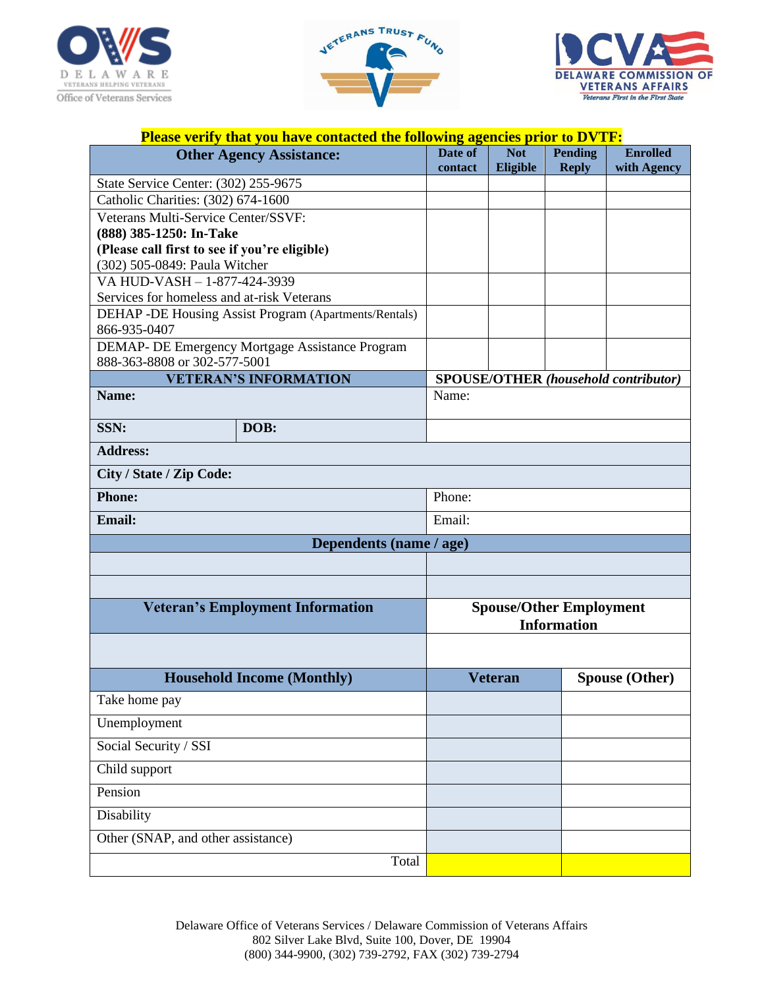





|                                               | Please verify that you have contacted the following agencies prior to DVTF: |         |                |                                                      |                                             |
|-----------------------------------------------|-----------------------------------------------------------------------------|---------|----------------|------------------------------------------------------|---------------------------------------------|
|                                               | <b>Other Agency Assistance:</b>                                             | Date of | <b>Not</b>     | <b>Pending</b>                                       | <b>Enrolled</b>                             |
| State Service Center: (302) 255-9675          |                                                                             | contact | Eligible       | <b>Reply</b>                                         | with Agency                                 |
| Catholic Charities: (302) 674-1600            |                                                                             |         |                |                                                      |                                             |
| Veterans Multi-Service Center/SSVF:           |                                                                             |         |                |                                                      |                                             |
| (888) 385-1250: In-Take                       |                                                                             |         |                |                                                      |                                             |
| (Please call first to see if you're eligible) |                                                                             |         |                |                                                      |                                             |
| (302) 505-0849: Paula Witcher                 |                                                                             |         |                |                                                      |                                             |
| VA HUD-VASH - 1-877-424-3939                  |                                                                             |         |                |                                                      |                                             |
| Services for homeless and at-risk Veterans    |                                                                             |         |                |                                                      |                                             |
| 866-935-0407                                  | DEHAP -DE Housing Assist Program (Apartments/Rentals)                       |         |                |                                                      |                                             |
|                                               | DEMAP- DE Emergency Mortgage Assistance Program                             |         |                |                                                      |                                             |
| 888-363-8808 or 302-577-5001                  |                                                                             |         |                |                                                      |                                             |
|                                               | <b>VETERAN'S INFORMATION</b>                                                |         |                |                                                      | <b>SPOUSE/OTHER</b> (household contributor) |
| Name:                                         |                                                                             | Name:   |                |                                                      |                                             |
| SSN:                                          | DOB:                                                                        |         |                |                                                      |                                             |
| <b>Address:</b>                               |                                                                             |         |                |                                                      |                                             |
| City / State / Zip Code:                      |                                                                             |         |                |                                                      |                                             |
| <b>Phone:</b>                                 |                                                                             | Phone:  |                |                                                      |                                             |
| <b>Email:</b>                                 |                                                                             | Email:  |                |                                                      |                                             |
|                                               | Dependents (name / age)                                                     |         |                |                                                      |                                             |
|                                               |                                                                             |         |                |                                                      |                                             |
|                                               |                                                                             |         |                |                                                      |                                             |
|                                               | <b>Veteran's Employment Information</b>                                     |         |                | <b>Spouse/Other Employment</b><br><b>Information</b> |                                             |
|                                               |                                                                             |         |                |                                                      |                                             |
|                                               | <b>Household Income (Monthly)</b>                                           |         | <b>Veteran</b> |                                                      | <b>Spouse (Other)</b>                       |
| Take home pay                                 |                                                                             |         |                |                                                      |                                             |
| Unemployment                                  |                                                                             |         |                |                                                      |                                             |
| Social Security / SSI                         |                                                                             |         |                |                                                      |                                             |
| Child support                                 |                                                                             |         |                |                                                      |                                             |
| Pension                                       |                                                                             |         |                |                                                      |                                             |
| Disability                                    |                                                                             |         |                |                                                      |                                             |
| Other (SNAP, and other assistance)            |                                                                             |         |                |                                                      |                                             |
|                                               | Total                                                                       |         |                |                                                      |                                             |

Delaware Office of Veterans Services / Delaware Commission of Veterans Affairs 802 Silver Lake Blvd, Suite 100, Dover, DE 19904 (800) 344-9900, (302) 739-2792, FAX (302) 739-2794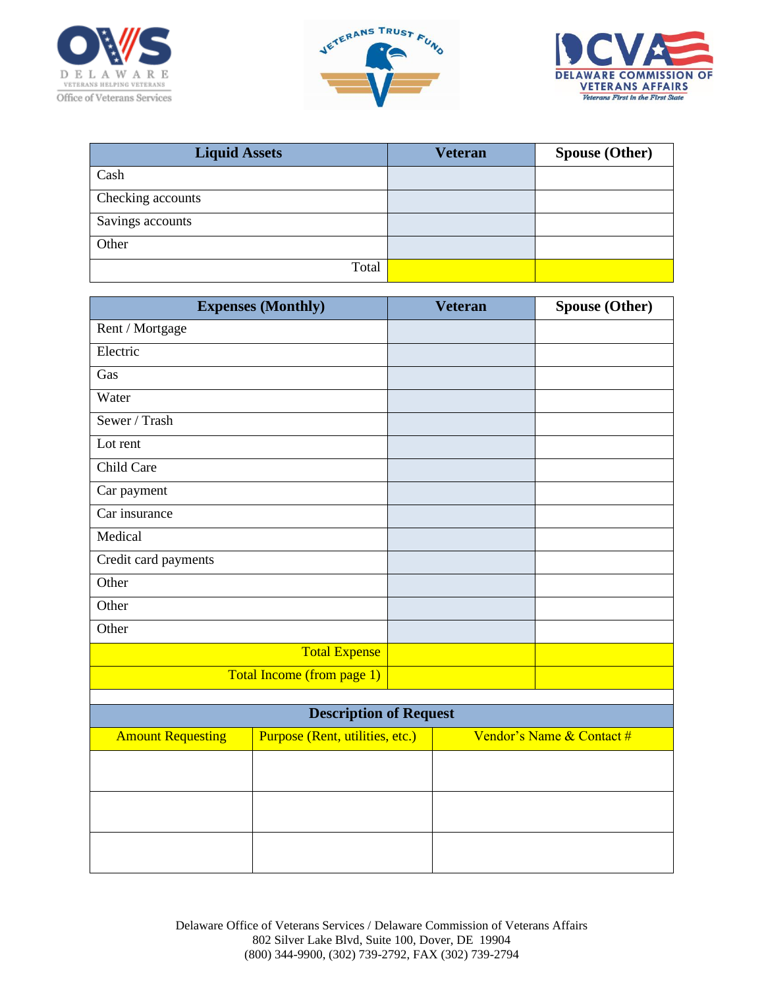





| <b>Liquid Assets</b> | <b>Veteran</b> | <b>Spouse (Other)</b> |
|----------------------|----------------|-----------------------|
| Cash                 |                |                       |
| Checking accounts    |                |                       |
| Savings accounts     |                |                       |
| Other                |                |                       |
| Total                |                |                       |

|                          | <b>Expenses (Monthly)</b>       | <b>Veteran</b> | <b>Spouse (Other)</b>     |
|--------------------------|---------------------------------|----------------|---------------------------|
| Rent / Mortgage          |                                 |                |                           |
| Electric                 |                                 |                |                           |
| Gas                      |                                 |                |                           |
| Water                    |                                 |                |                           |
| Sewer / Trash            |                                 |                |                           |
| Lot rent                 |                                 |                |                           |
| Child Care               |                                 |                |                           |
| Car payment              |                                 |                |                           |
| Car insurance            |                                 |                |                           |
| Medical                  |                                 |                |                           |
| Credit card payments     |                                 |                |                           |
| Other                    |                                 |                |                           |
| Other                    |                                 |                |                           |
| Other                    |                                 |                |                           |
|                          | <b>Total Expense</b>            |                |                           |
|                          | Total Income (from page 1)      |                |                           |
|                          |                                 |                |                           |
|                          | <b>Description of Request</b>   |                |                           |
| <b>Amount Requesting</b> | Purpose (Rent, utilities, etc.) |                | Vendor's Name & Contact # |
|                          |                                 |                |                           |
|                          |                                 |                |                           |
|                          |                                 |                |                           |
|                          |                                 |                |                           |

Delaware Office of Veterans Services / Delaware Commission of Veterans Affairs 802 Silver Lake Blvd, Suite 100, Dover, DE 19904 (800) 344-9900, (302) 739-2792, FAX (302) 739-2794